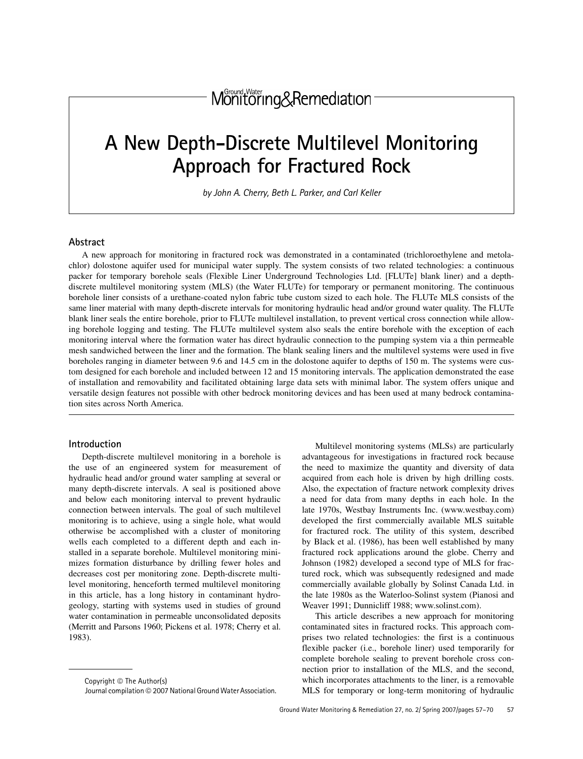# A New Depth-Discrete Multilevel Monitoring Approach for Fractured Rock

by John A. Cherry, Beth L. Parker, and Carl Keller

# Abstract

A new approach for monitoring in fractured rock was demonstrated in a contaminated (trichloroethylene and metolachlor) dolostone aquifer used for municipal water supply. The system consists of two related technologies: a continuous packer for temporary borehole seals (Flexible Liner Underground Technologies Ltd. [FLUTe] blank liner) and a depthdiscrete multilevel monitoring system (MLS) (the Water FLUTe) for temporary or permanent monitoring. The continuous borehole liner consists of a urethane-coated nylon fabric tube custom sized to each hole. The FLUTe MLS consists of the same liner material with many depth-discrete intervals for monitoring hydraulic head and/or ground water quality. The FLUTe blank liner seals the entire borehole, prior to FLUTe multilevel installation, to prevent vertical cross connection while allowing borehole logging and testing. The FLUTe multilevel system also seals the entire borehole with the exception of each monitoring interval where the formation water has direct hydraulic connection to the pumping system via a thin permeable mesh sandwiched between the liner and the formation. The blank sealing liners and the multilevel systems were used in five boreholes ranging in diameter between 9.6 and 14.5 cm in the dolostone aquifer to depths of 150 m. The systems were custom designed for each borehole and included between 12 and 15 monitoring intervals. The application demonstrated the ease of installation and removability and facilitated obtaining large data sets with minimal labor. The system offers unique and versatile design features not possible with other bedrock monitoring devices and has been used at many bedrock contamination sites across North America.

## Introduction

Depth-discrete multilevel monitoring in a borehole is the use of an engineered system for measurement of hydraulic head and/or ground water sampling at several or many depth-discrete intervals. A seal is positioned above and below each monitoring interval to prevent hydraulic connection between intervals. The goal of such multilevel monitoring is to achieve, using a single hole, what would otherwise be accomplished with a cluster of monitoring wells each completed to a different depth and each installed in a separate borehole. Multilevel monitoring minimizes formation disturbance by drilling fewer holes and decreases cost per monitoring zone. Depth-discrete multilevel monitoring, henceforth termed multilevel monitoring in this article, has a long history in contaminant hydrogeology, starting with systems used in studies of ground water contamination in permeable unconsolidated deposits (Merritt and Parsons 1960; Pickens et al. 1978; Cherry et al. 1983).

Multilevel monitoring systems (MLSs) are particularly advantageous for investigations in fractured rock because the need to maximize the quantity and diversity of data acquired from each hole is driven by high drilling costs. Also, the expectation of fracture network complexity drives a need for data from many depths in each hole. In the late 1970s, Westbay Instruments Inc. (www.westbay.com) developed the first commercially available MLS suitable for fractured rock. The utility of this system, described by Black et al. (1986), has been well established by many fractured rock applications around the globe. Cherry and Johnson (1982) developed a second type of MLS for fractured rock, which was subsequently redesigned and made commercially available globally by Solinst Canada Ltd. in the late 1980s as the Waterloo-Solinst system (Pianosi and Weaver 1991; Dunnicliff 1988; www.solinst.com).

This article describes a new approach for monitoring contaminated sites in fractured rocks. This approach comprises two related technologies: the first is a continuous flexible packer (i.e., borehole liner) used temporarily for complete borehole sealing to prevent borehole cross connection prior to installation of the MLS, and the second, which incorporates attachments to the liner, is a removable MLS for temporary or long-term monitoring of hydraulic

Copyright  $\circledcirc$  The Author(s)

Journal compilation @ 2007 National Ground Water Association.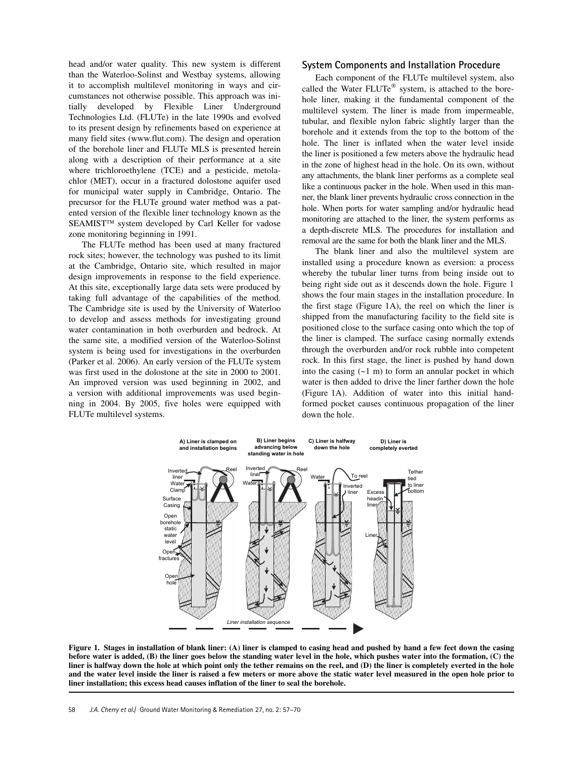head and/or water quality. This new system is different than the Waterloo-Solinst and Westbay systems, allowing it to accomplish multilevel monitoring in ways and circumstances not otherwise possible. This approach was initially developed by Flexible Liner Underground Technologies Ltd. (FLUTe) in the late 1990s and evolved to its present design by refinements based on experience at many field sites (www.flut.com). The design and operation of the borehole liner and FLUTe MLS is presented herein along with a description of their performance at a site where trichloroethylene (TCE) and a pesticide, metolachlor (MET), occur in a fractured dolostone aquifer used for municipal water supply in Cambridge, Ontario. The precursor for the FLUTe ground water method was a patented version of the flexible liner technology known as the SEAMIST<sup>™</sup> system developed by Carl Keller for vadose zone monitoring beginning in 1991.

The FLUTe method has been used at many fractured rock sites; however, the technology was pushed to its limit at the Cambridge, Ontario site, which resulted in major design improvements in response to the field experience. At this site, exceptionally large data sets were produced by taking full advantage of the capabilities of the method. The Cambridge site is used by the University of Waterloo to develop and assess methods for investigating ground water contamination in both overburden and bedrock. At the same site, a modified version of the Waterloo-Solinst system is being used for investigations in the overburden (Parker et al. 2006). An early version of the FLUTe system was first used in the dolostone at the site in 2000 to 2001. An improved version was used beginning in 2002, and a version with additional improvements was used beginning in 2004. By 2005, five holes were equipped with FLUTe multilevel systems.

#### System Components and Installation Procedure

Each component of the FLUTe multilevel system, also called the Water FLUTe® system, is attached to the borehole liner, making it the fundamental component of the multilevel system. The liner is made from impermeable, tubular, and flexible nylon fabric slightly larger than the borehole and it extends from the top to the bottom of the hole. The liner is inflated when the water level inside the liner is positioned a few meters above the hydraulic head in the zone of highest head in the hole. On its own, without any attachments, the blank liner performs as a complete seal like a continuous packer in the hole. When used in this manner, the blank liner prevents hydraulic cross connection in the hole. When ports for water sampling and/or hydraulic head monitoring are attached to the liner, the system performs as a depth-discrete MLS. The procedures for installation and removal are the same for both the blank liner and the MLS.

The blank liner and also the multilevel system are installed using a procedure known as eversion: a process whereby the tubular liner turns from being inside out to being right side out as it descends down the hole. Figure 1 shows the four main stages in the installation procedure. In the first stage (Figure 1A), the reel on which the liner is shipped from the manufacturing facility to the field site is positioned close to the surface casing onto which the top of the liner is clamped. The surface casing normally extends through the overburden and/or rock rubble into competent rock. In this first stage, the liner is pushed by hand down into the casing  $(-1 \text{ m})$  to form an annular pocket in which water is then added to drive the liner farther down the hole (Figure 1A). Addition of water into this initial handformed pocket causes continuous propagation of the liner down the hole.



Figure 1. Stages in installation of blank liner: (A) liner is clamped to casing head and pushed by hand a few feet down the casing before water is added, (B) the liner goes below the standing water level in the hole, which pushes water into the formation, (C) the liner is halfway down the hole at which point only the tether remains on the reel, and (D) the liner is completely everted in the hole and the water level inside the liner is raised a few meters or more above the static water level measured in the open hole prior to liner installation; this excess head causes inflation of the liner to seal the borehole.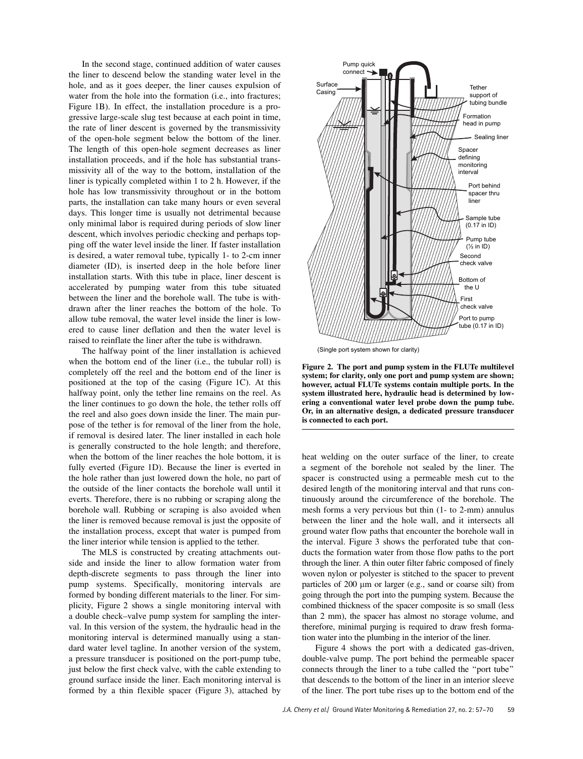In the second stage, continued addition of water causes the liner to descend below the standing water level in the hole, and as it goes deeper, the liner causes expulsion of water from the hole into the formation (i.e., into fractures; Figure 1B). In effect, the installation procedure is a progressive large-scale slug test because at each point in time, the rate of liner descent is governed by the transmissivity of the open-hole segment below the bottom of the liner. The length of this open-hole segment decreases as liner installation proceeds, and if the hole has substantial transmissivity all of the way to the bottom, installation of the liner is typically completed within 1 to 2 h. However, if the hole has low transmissivity throughout or in the bottom parts, the installation can take many hours or even several days. This longer time is usually not detrimental because only minimal labor is required during periods of slow liner descent, which involves periodic checking and perhaps topping off the water level inside the liner. If faster installation is desired, a water removal tube, typically 1- to 2-cm inner diameter (ID), is inserted deep in the hole before liner installation starts. With this tube in place, liner descent is accelerated by pumping water from this tube situated between the liner and the borehole wall. The tube is withdrawn after the liner reaches the bottom of the hole. To allow tube removal, the water level inside the liner is lowered to cause liner deflation and then the water level is raised to reinflate the liner after the tube is withdrawn.

The halfway point of the liner installation is achieved when the bottom end of the liner (i.e., the tubular roll) is completely off the reel and the bottom end of the liner is positioned at the top of the casing (Figure 1C). At this halfway point, only the tether line remains on the reel. As the liner continues to go down the hole, the tether rolls off the reel and also goes down inside the liner. The main purpose of the tether is for removal of the liner from the hole, if removal is desired later. The liner installed in each hole is generally constructed to the hole length; and therefore, when the bottom of the liner reaches the hole bottom, it is fully everted (Figure 1D). Because the liner is everted in the hole rather than just lowered down the hole, no part of the outside of the liner contacts the borehole wall until it everts. Therefore, there is no rubbing or scraping along the borehole wall. Rubbing or scraping is also avoided when the liner is removed because removal is just the opposite of the installation process, except that water is pumped from the liner interior while tension is applied to the tether.

The MLS is constructed by creating attachments outside and inside the liner to allow formation water from depth-discrete segments to pass through the liner into pump systems. Specifically, monitoring intervals are formed by bonding different materials to the liner. For simplicity, Figure 2 shows a single monitoring interval with a double check–valve pump system for sampling the interval. In this version of the system, the hydraulic head in the monitoring interval is determined manually using a standard water level tagline. In another version of the system, a pressure transducer is positioned on the port-pump tube, just below the first check valve, with the cable extending to ground surface inside the liner. Each monitoring interval is formed by a thin flexible spacer (Figure 3), attached by



Figure 2. The port and pump system in the FLUTe multilevel system; for clarity, only one port and pump system are shown; however, actual FLUTe systems contain multiple ports. In the system illustrated here, hydraulic head is determined by lowering a conventional water level probe down the pump tube. Or, in an alternative design, a dedicated pressure transducer is connected to each port.

heat welding on the outer surface of the liner, to create a segment of the borehole not sealed by the liner. The spacer is constructed using a permeable mesh cut to the desired length of the monitoring interval and that runs continuously around the circumference of the borehole. The mesh forms a very pervious but thin (1- to 2-mm) annulus between the liner and the hole wall, and it intersects all ground water flow paths that encounter the borehole wall in the interval. Figure 3 shows the perforated tube that conducts the formation water from those flow paths to the port through the liner. A thin outer filter fabric composed of finely woven nylon or polyester is stitched to the spacer to prevent particles of 200 µm or larger (e.g., sand or coarse silt) from going through the port into the pumping system. Because the combined thickness of the spacer composite is so small (less than 2 mm), the spacer has almost no storage volume, and therefore, minimal purging is required to draw fresh formation water into the plumbing in the interior of the liner.

Figure 4 shows the port with a dedicated gas-driven, double-valve pump. The port behind the permeable spacer connects through the liner to a tube called the ''port tube'' that descends to the bottom of the liner in an interior sleeve of the liner. The port tube rises up to the bottom end of the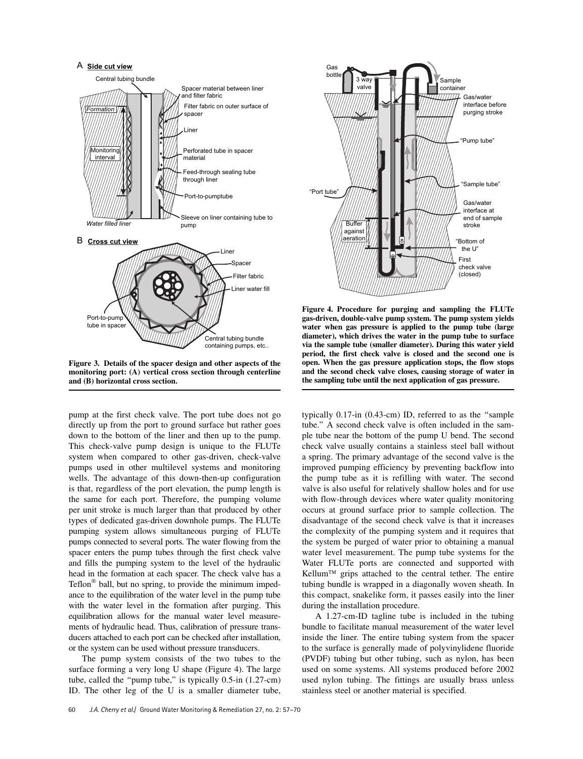#### **Side cut view** A



Figure 3. Details of the spacer design and other aspects of the monitoring port: (A) vertical cross section through centerline and (B) horizontal cross section.

pump at the first check valve. The port tube does not go directly up from the port to ground surface but rather goes down to the bottom of the liner and then up to the pump. This check-valve pump design is unique to the FLUTe system when compared to other gas-driven, check-valve pumps used in other multilevel systems and monitoring wells. The advantage of this down-then-up configuration is that, regardless of the port elevation, the pump length is the same for each port. Therefore, the pumping volume per unit stroke is much larger than that produced by other types of dedicated gas-driven downhole pumps. The FLUTe pumping system allows simultaneous purging of FLUTe pumps connected to several ports. The water flowing from the spacer enters the pump tubes through the first check valve and fills the pumping system to the level of the hydraulic head in the formation at each spacer. The check valve has a Teflon $^{\circledR}$  ball, but no spring, to provide the minimum impedance to the equilibration of the water level in the pump tube with the water level in the formation after purging. This equilibration allows for the manual water level measurements of hydraulic head. Thus, calibration of pressure transducers attached to each port can be checked after installation, or the system can be used without pressure transducers.

The pump system consists of the two tubes to the surface forming a very long U shape (Figure 4). The large tube, called the "pump tube," is typically 0.5-in (1.27-cm) ID. The other leg of the U is a smaller diameter tube,



Figure 4. Procedure for purging and sampling the FLUTe gas-driven, double-valve pump system. The pump system yields water when gas pressure is applied to the pump tube (large diameter), which drives the water in the pump tube to surface via the sample tube (smaller diameter). During this water yield period, the first check valve is closed and the second one is open. When the gas pressure application stops, the flow stops and the second check valve closes, causing storage of water in the sampling tube until the next application of gas pressure.

typically 0.17-in (0.43-cm) ID, referred to as the ''sample tube.'' A second check valve is often included in the sample tube near the bottom of the pump U bend. The second check valve usually contains a stainless steel ball without a spring. The primary advantage of the second valve is the improved pumping efficiency by preventing backflow into the pump tube as it is refilling with water. The second valve is also useful for relatively shallow holes and for use with flow-through devices where water quality monitoring occurs at ground surface prior to sample collection. The disadvantage of the second check valve is that it increases the complexity of the pumping system and it requires that the system be purged of water prior to obtaining a manual water level measurement. The pump tube systems for the Water FLUTe ports are connected and supported with Kellum<sup> $TM$ </sup> grips attached to the central tether. The entire tubing bundle is wrapped in a diagonally woven sheath. In this compact, snakelike form, it passes easily into the liner during the installation procedure.

A 1.27-cm-ID tagline tube is included in the tubing bundle to facilitate manual measurement of the water level inside the liner. The entire tubing system from the spacer to the surface is generally made of polyvinylidene fluoride (PVDF) tubing but other tubing, such as nylon, has been used on some systems. All systems produced before 2002 used nylon tubing. The fittings are usually brass unless stainless steel or another material is specified.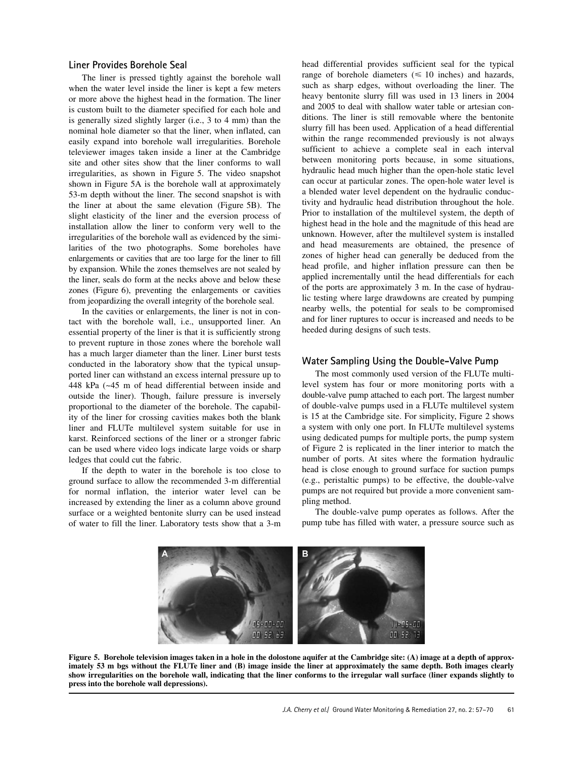# Liner Provides Borehole Seal

The liner is pressed tightly against the borehole wall when the water level inside the liner is kept a few meters or more above the highest head in the formation. The liner is custom built to the diameter specified for each hole and is generally sized slightly larger (i.e., 3 to 4 mm) than the nominal hole diameter so that the liner, when inflated, can easily expand into borehole wall irregularities. Borehole televiewer images taken inside a liner at the Cambridge site and other sites show that the liner conforms to wall irregularities, as shown in Figure 5. The video snapshot shown in Figure 5A is the borehole wall at approximately 53-m depth without the liner. The second snapshot is with the liner at about the same elevation (Figure 5B). The slight elasticity of the liner and the eversion process of installation allow the liner to conform very well to the irregularities of the borehole wall as evidenced by the similarities of the two photographs. Some boreholes have enlargements or cavities that are too large for the liner to fill by expansion. While the zones themselves are not sealed by the liner, seals do form at the necks above and below these zones (Figure 6), preventing the enlargements or cavities from jeopardizing the overall integrity of the borehole seal.

In the cavities or enlargements, the liner is not in contact with the borehole wall, i.e., unsupported liner. An essential property of the liner is that it is sufficiently strong to prevent rupture in those zones where the borehole wall has a much larger diameter than the liner. Liner burst tests conducted in the laboratory show that the typical unsupported liner can withstand an excess internal pressure up to 448 kPa (~45 m of head differential between inside and outside the liner). Though, failure pressure is inversely proportional to the diameter of the borehole. The capability of the liner for crossing cavities makes both the blank liner and FLUTe multilevel system suitable for use in karst. Reinforced sections of the liner or a stronger fabric can be used where video logs indicate large voids or sharp ledges that could cut the fabric.

If the depth to water in the borehole is too close to ground surface to allow the recommended 3-m differential for normal inflation, the interior water level can be increased by extending the liner as a column above ground surface or a weighted bentonite slurry can be used instead of water to fill the liner. Laboratory tests show that a 3-m head differential provides sufficient seal for the typical range of borehole diameters ( $\leq 10$  inches) and hazards, such as sharp edges, without overloading the liner. The heavy bentonite slurry fill was used in 13 liners in 2004 and 2005 to deal with shallow water table or artesian conditions. The liner is still removable where the bentonite slurry fill has been used. Application of a head differential within the range recommended previously is not always sufficient to achieve a complete seal in each interval between monitoring ports because, in some situations, hydraulic head much higher than the open-hole static level can occur at particular zones. The open-hole water level is a blended water level dependent on the hydraulic conductivity and hydraulic head distribution throughout the hole. Prior to installation of the multilevel system, the depth of highest head in the hole and the magnitude of this head are unknown. However, after the multilevel system is installed and head measurements are obtained, the presence of zones of higher head can generally be deduced from the head profile, and higher inflation pressure can then be applied incrementally until the head differentials for each of the ports are approximately 3 m. In the case of hydraulic testing where large drawdowns are created by pumping nearby wells, the potential for seals to be compromised and for liner ruptures to occur is increased and needs to be heeded during designs of such tests.

### Water Sampling Using the Double-Valve Pump

The most commonly used version of the FLUTe multilevel system has four or more monitoring ports with a double-valve pump attached to each port. The largest number of double-valve pumps used in a FLUTe multilevel system is 15 at the Cambridge site. For simplicity, Figure 2 shows a system with only one port. In FLUTe multilevel systems using dedicated pumps for multiple ports, the pump system of Figure 2 is replicated in the liner interior to match the number of ports. At sites where the formation hydraulic head is close enough to ground surface for suction pumps (e.g., peristaltic pumps) to be effective, the double-valve pumps are not required but provide a more convenient sampling method.

The double-valve pump operates as follows. After the pump tube has filled with water, a pressure source such as



Figure 5. Borehole television images taken in a hole in the dolostone aquifer at the Cambridge site: (A) image at a depth of approximately 53 m bgs without the FLUTe liner and (B) image inside the liner at approximately the same depth. Both images clearly show irregularities on the borehole wall, indicating that the liner conforms to the irregular wall surface (liner expands slightly to press into the borehole wall depressions).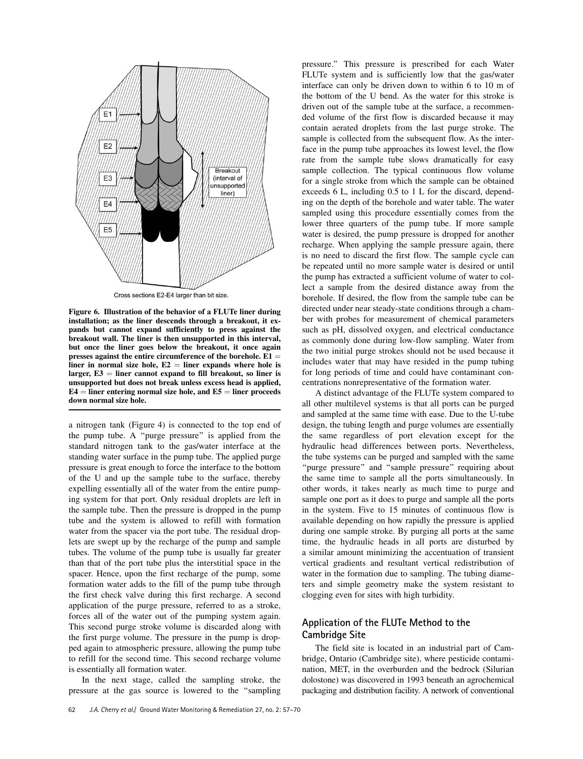

Cross sections E2-E4 larger than bit size.

Figure 6. Illustration of the behavior of a FLUTe liner during installation; as the liner descends through a breakout, it expands but cannot expand sufficiently to press against the breakout wall. The liner is then unsupported in this interval, but once the liner goes below the breakout, it once again presses against the entire circumference of the borehole.  $E1 =$ liner in normal size hole,  $E2 =$  liner expands where hole is larger,  $E3$  = liner cannot expand to fill breakout, so liner is unsupported but does not break unless excess head is applied,  $E4 =$  liner entering normal size hole, and  $E5 =$  liner proceeds down normal size hole.

a nitrogen tank (Figure 4) is connected to the top end of the pump tube. A ''purge pressure'' is applied from the standard nitrogen tank to the gas/water interface at the standing water surface in the pump tube. The applied purge pressure is great enough to force the interface to the bottom of the U and up the sample tube to the surface, thereby expelling essentially all of the water from the entire pumping system for that port. Only residual droplets are left in the sample tube. Then the pressure is dropped in the pump tube and the system is allowed to refill with formation water from the spacer via the port tube. The residual droplets are swept up by the recharge of the pump and sample tubes. The volume of the pump tube is usually far greater than that of the port tube plus the interstitial space in the spacer. Hence, upon the first recharge of the pump, some formation water adds to the fill of the pump tube through the first check valve during this first recharge. A second application of the purge pressure, referred to as a stroke, forces all of the water out of the pumping system again. This second purge stroke volume is discarded along with the first purge volume. The pressure in the pump is dropped again to atmospheric pressure, allowing the pump tube to refill for the second time. This second recharge volume is essentially all formation water.

In the next stage, called the sampling stroke, the pressure at the gas source is lowered to the ''sampling pressure.'' This pressure is prescribed for each Water FLUTe system and is sufficiently low that the gas/water interface can only be driven down to within 6 to 10 m of the bottom of the U bend. As the water for this stroke is driven out of the sample tube at the surface, a recommended volume of the first flow is discarded because it may contain aerated droplets from the last purge stroke. The sample is collected from the subsequent flow. As the interface in the pump tube approaches its lowest level, the flow rate from the sample tube slows dramatically for easy sample collection. The typical continuous flow volume for a single stroke from which the sample can be obtained exceeds 6 L, including 0.5 to 1 L for the discard, depending on the depth of the borehole and water table. The water sampled using this procedure essentially comes from the lower three quarters of the pump tube. If more sample water is desired, the pump pressure is dropped for another recharge. When applying the sample pressure again, there is no need to discard the first flow. The sample cycle can be repeated until no more sample water is desired or until the pump has extracted a sufficient volume of water to collect a sample from the desired distance away from the borehole. If desired, the flow from the sample tube can be directed under near steady-state conditions through a chamber with probes for measurement of chemical parameters such as pH, dissolved oxygen, and electrical conductance as commonly done during low-flow sampling. Water from the two initial purge strokes should not be used because it includes water that may have resided in the pump tubing for long periods of time and could have contaminant concentrations nonrepresentative of the formation water.

A distinct advantage of the FLUTe system compared to all other multilevel systems is that all ports can be purged and sampled at the same time with ease. Due to the U-tube design, the tubing length and purge volumes are essentially the same regardless of port elevation except for the hydraulic head differences between ports. Nevertheless, the tube systems can be purged and sampled with the same "purge pressure" and "sample pressure" requiring about the same time to sample all the ports simultaneously. In other words, it takes nearly as much time to purge and sample one port as it does to purge and sample all the ports in the system. Five to 15 minutes of continuous flow is available depending on how rapidly the pressure is applied during one sample stroke. By purging all ports at the same time, the hydraulic heads in all ports are disturbed by a similar amount minimizing the accentuation of transient vertical gradients and resultant vertical redistribution of water in the formation due to sampling. The tubing diameters and simple geometry make the system resistant to clogging even for sites with high turbidity.

# Application of the FLUTe Method to the Cambridge Site

The field site is located in an industrial part of Cambridge, Ontario (Cambridge site), where pesticide contamination, MET, in the overburden and the bedrock (Silurian dolostone) was discovered in 1993 beneath an agrochemical packaging and distribution facility. A network of conventional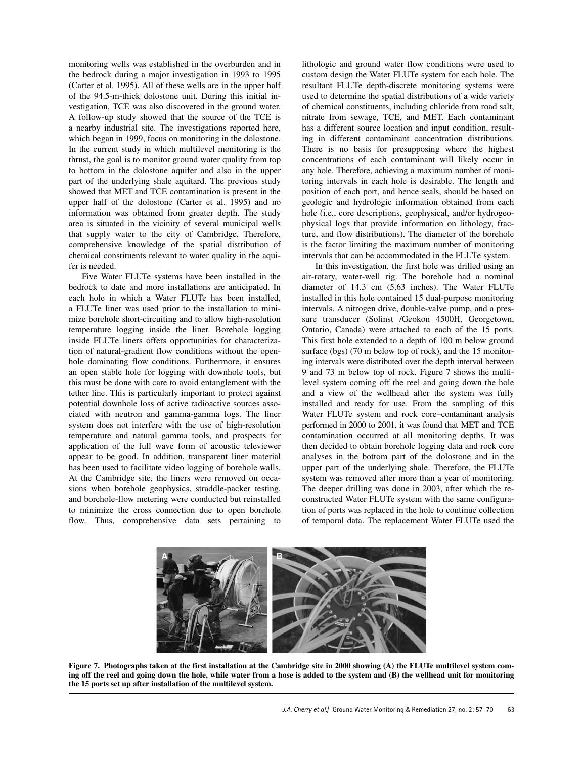monitoring wells was established in the overburden and in the bedrock during a major investigation in 1993 to 1995 (Carter et al. 1995). All of these wells are in the upper half of the 94.5-m-thick dolostone unit. During this initial investigation, TCE was also discovered in the ground water. A follow-up study showed that the source of the TCE is a nearby industrial site. The investigations reported here, which began in 1999, focus on monitoring in the dolostone. In the current study in which multilevel monitoring is the thrust, the goal is to monitor ground water quality from top to bottom in the dolostone aquifer and also in the upper part of the underlying shale aquitard. The previous study showed that MET and TCE contamination is present in the upper half of the dolostone (Carter et al. 1995) and no information was obtained from greater depth. The study area is situated in the vicinity of several municipal wells that supply water to the city of Cambridge. Therefore, comprehensive knowledge of the spatial distribution of chemical constituents relevant to water quality in the aquifer is needed.

Five Water FLUTe systems have been installed in the bedrock to date and more installations are anticipated. In each hole in which a Water FLUTe has been installed, a FLUTe liner was used prior to the installation to minimize borehole short-circuiting and to allow high-resolution temperature logging inside the liner. Borehole logging inside FLUTe liners offers opportunities for characterization of natural-gradient flow conditions without the openhole dominating flow conditions. Furthermore, it ensures an open stable hole for logging with downhole tools, but this must be done with care to avoid entanglement with the tether line. This is particularly important to protect against potential downhole loss of active radioactive sources associated with neutron and gamma-gamma logs. The liner system does not interfere with the use of high-resolution temperature and natural gamma tools, and prospects for application of the full wave form of acoustic televiewer appear to be good. In addition, transparent liner material has been used to facilitate video logging of borehole walls. At the Cambridge site, the liners were removed on occasions when borehole geophysics, straddle-packer testing, and borehole-flow metering were conducted but reinstalled to minimize the cross connection due to open borehole flow. Thus, comprehensive data sets pertaining to

lithologic and ground water flow conditions were used to custom design the Water FLUTe system for each hole. The resultant FLUTe depth-discrete monitoring systems were used to determine the spatial distributions of a wide variety of chemical constituents, including chloride from road salt, nitrate from sewage, TCE, and MET. Each contaminant has a different source location and input condition, resulting in different contaminant concentration distributions. There is no basis for presupposing where the highest concentrations of each contaminant will likely occur in any hole. Therefore, achieving a maximum number of monitoring intervals in each hole is desirable. The length and position of each port, and hence seals, should be based on geologic and hydrologic information obtained from each hole (i.e., core descriptions, geophysical, and/or hydrogeophysical logs that provide information on lithology, fracture, and flow distributions). The diameter of the borehole is the factor limiting the maximum number of monitoring intervals that can be accommodated in the FLUTe system.

In this investigation, the first hole was drilled using an air-rotary, water-well rig. The borehole had a nominal diameter of 14.3 cm (5.63 inches). The Water FLUTe installed in this hole contained 15 dual-purpose monitoring intervals. A nitrogen drive, double-valve pump, and a pressure transducer (Solinst /Geokon 4500H, Georgetown, Ontario, Canada) were attached to each of the 15 ports. This first hole extended to a depth of 100 m below ground surface (bgs) (70 m below top of rock), and the 15 monitoring intervals were distributed over the depth interval between 9 and 73 m below top of rock. Figure 7 shows the multilevel system coming off the reel and going down the hole and a view of the wellhead after the system was fully installed and ready for use. From the sampling of this Water FLUTe system and rock core–contaminant analysis performed in 2000 to 2001, it was found that MET and TCE contamination occurred at all monitoring depths. It was then decided to obtain borehole logging data and rock core analyses in the bottom part of the dolostone and in the upper part of the underlying shale. Therefore, the FLUTe system was removed after more than a year of monitoring. The deeper drilling was done in 2003, after which the reconstructed Water FLUTe system with the same configuration of ports was replaced in the hole to continue collection of temporal data. The replacement Water FLUTe used the



Figure 7. Photographs taken at the first installation at the Cambridge site in 2000 showing (A) the FLUTe multilevel system coming off the reel and going down the hole, while water from a hose is added to the system and (B) the wellhead unit for monitoring the 15 ports set up after installation of the multilevel system.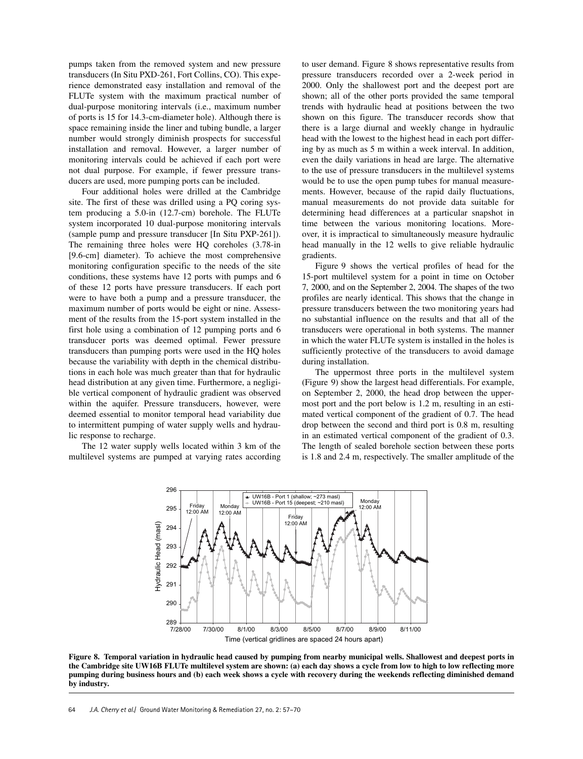pumps taken from the removed system and new pressure transducers (In Situ PXD-261, Fort Collins, CO). This experience demonstrated easy installation and removal of the FLUTe system with the maximum practical number of dual-purpose monitoring intervals (i.e., maximum number of ports is 15 for 14.3-cm-diameter hole). Although there is space remaining inside the liner and tubing bundle, a larger number would strongly diminish prospects for successful installation and removal. However, a larger number of monitoring intervals could be achieved if each port were not dual purpose. For example, if fewer pressure transducers are used, more pumping ports can be included.

Four additional holes were drilled at the Cambridge site. The first of these was drilled using a PQ coring system producing a 5.0-in (12.7-cm) borehole. The FLUTe system incorporated 10 dual-purpose monitoring intervals (sample pump and pressure transducer [In Situ PXP-261]). The remaining three holes were HQ coreholes (3.78-in [9.6-cm] diameter). To achieve the most comprehensive monitoring configuration specific to the needs of the site conditions, these systems have 12 ports with pumps and 6 of these 12 ports have pressure transducers. If each port were to have both a pump and a pressure transducer, the maximum number of ports would be eight or nine. Assessment of the results from the 15-port system installed in the first hole using a combination of 12 pumping ports and 6 transducer ports was deemed optimal. Fewer pressure transducers than pumping ports were used in the HQ holes because the variability with depth in the chemical distributions in each hole was much greater than that for hydraulic head distribution at any given time. Furthermore, a negligible vertical component of hydraulic gradient was observed within the aquifer. Pressure transducers, however, were deemed essential to monitor temporal head variability due to intermittent pumping of water supply wells and hydraulic response to recharge.

The 12 water supply wells located within 3 km of the multilevel systems are pumped at varying rates according to user demand. Figure 8 shows representative results from pressure transducers recorded over a 2-week period in 2000. Only the shallowest port and the deepest port are shown; all of the other ports provided the same temporal trends with hydraulic head at positions between the two shown on this figure. The transducer records show that there is a large diurnal and weekly change in hydraulic head with the lowest to the highest head in each port differing by as much as 5 m within a week interval. In addition, even the daily variations in head are large. The alternative to the use of pressure transducers in the multilevel systems would be to use the open pump tubes for manual measurements. However, because of the rapid daily fluctuations, manual measurements do not provide data suitable for determining head differences at a particular snapshot in time between the various monitoring locations. Moreover, it is impractical to simultaneously measure hydraulic head manually in the 12 wells to give reliable hydraulic gradients.

Figure 9 shows the vertical profiles of head for the 15-port multilevel system for a point in time on October 7, 2000, and on the September 2, 2004. The shapes of the two profiles are nearly identical. This shows that the change in pressure transducers between the two monitoring years had no substantial influence on the results and that all of the transducers were operational in both systems. The manner in which the water FLUTe system is installed in the holes is sufficiently protective of the transducers to avoid damage during installation.

The uppermost three ports in the multilevel system (Figure 9) show the largest head differentials. For example, on September 2, 2000, the head drop between the uppermost port and the port below is 1.2 m, resulting in an estimated vertical component of the gradient of 0.7. The head drop between the second and third port is 0.8 m, resulting in an estimated vertical component of the gradient of 0.3. The length of sealed borehole section between these ports is 1.8 and 2.4 m, respectively. The smaller amplitude of the



Figure 8. Temporal variation in hydraulic head caused by pumping from nearby municipal wells. Shallowest and deepest ports in the Cambridge site UW16B FLUTe multilevel system are shown: (a) each day shows a cycle from low to high to low reflecting more pumping during business hours and (b) each week shows a cycle with recovery during the weekends reflecting diminished demand by industry.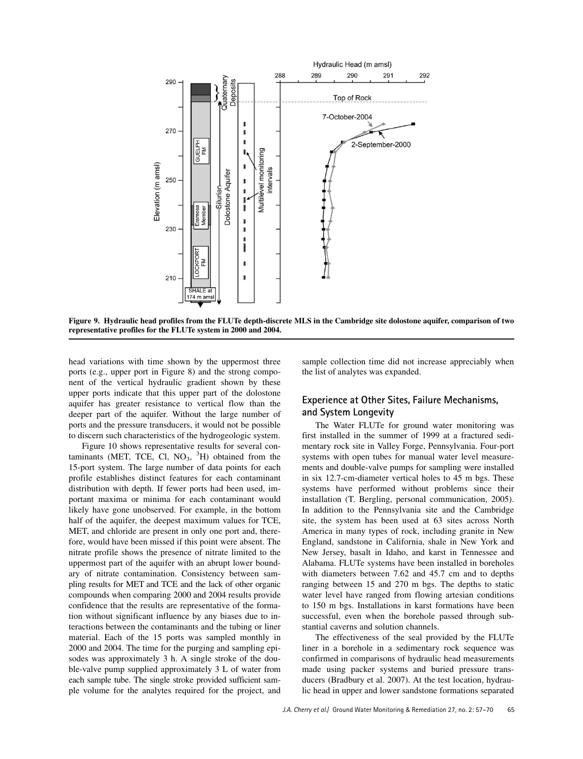

Figure 9. Hydraulic head profiles from the FLUTe depth-discrete MLS in the Cambridge site dolostone aquifer, comparison of two representative profiles for the FLUTe system in 2000 and 2004.

head variations with time shown by the uppermost three ports (e.g., upper port in Figure 8) and the strong component of the vertical hydraulic gradient shown by these upper ports indicate that this upper part of the dolostone aquifer has greater resistance to vertical flow than the deeper part of the aquifer. Without the large number of ports and the pressure transducers, it would not be possible to discern such characteristics of the hydrogeologic system.

Figure 10 shows representative results for several contaminants (MET, TCE, Cl,  $NO_3$ ,  ${}^{3}H$ ) obtained from the 15-port system. The large number of data points for each profile establishes distinct features for each contaminant distribution with depth. If fewer ports had been used, important maxima or minima for each contaminant would likely have gone unobserved. For example, in the bottom half of the aquifer, the deepest maximum values for TCE, MET, and chloride are present in only one port and, therefore, would have been missed if this point were absent. The nitrate profile shows the presence of nitrate limited to the uppermost part of the aquifer with an abrupt lower boundary of nitrate contamination. Consistency between sampling results for MET and TCE and the lack of other organic compounds when comparing 2000 and 2004 results provide confidence that the results are representative of the formation without significant influence by any biases due to interactions between the contaminants and the tubing or liner material. Each of the 15 ports was sampled monthly in 2000 and 2004. The time for the purging and sampling episodes was approximately 3 h. A single stroke of the double-valve pump supplied approximately 3 L of water from each sample tube. The single stroke provided sufficient sample volume for the analytes required for the project, and sample collection time did not increase appreciably when the list of analytes was expanded.

# Experience at Other Sites, Failure Mechanisms, and System Longevity

The Water FLUTe for ground water monitoring was first installed in the summer of 1999 at a fractured sedimentary rock site in Valley Forge, Pennsylvania. Four-port systems with open tubes for manual water level measurements and double-valve pumps for sampling were installed in six 12.7-cm-diameter vertical holes to 45 m bgs. These systems have performed without problems since their installation (T. Bergling, personal communication, 2005). In addition to the Pennsylvania site and the Cambridge site, the system has been used at 63 sites across North America in many types of rock, including granite in New England, sandstone in California, shale in New York and New Jersey, basalt in Idaho, and karst in Tennessee and Alabama. FLUTe systems have been installed in boreholes with diameters between 7.62 and 45.7 cm and to depths ranging between 15 and 270 m bgs. The depths to static water level have ranged from flowing artesian conditions to 150 m bgs. Installations in karst formations have been successful, even when the borehole passed through substantial caverns and solution channels.

The effectiveness of the seal provided by the FLUTe liner in a borehole in a sedimentary rock sequence was confirmed in comparisons of hydraulic head measurements made using packer systems and buried pressure transducers (Bradbury et al. 2007). At the test location, hydraulic head in upper and lower sandstone formations separated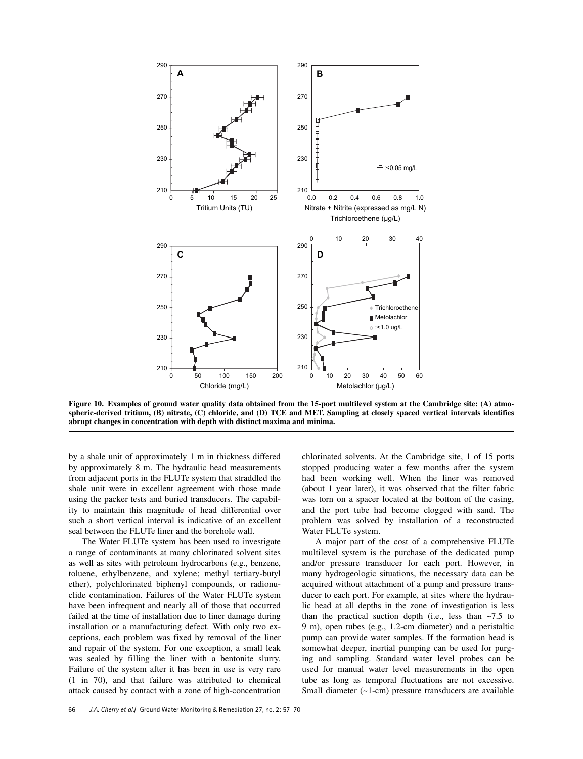

Figure 10. Examples of ground water quality data obtained from the 15-port multilevel system at the Cambridge site: (A) atmospheric-derived tritium, (B) nitrate, (C) chloride, and (D) TCE and MET. Sampling at closely spaced vertical intervals identifies abrupt changes in concentration with depth with distinct maxima and minima.

by a shale unit of approximately 1 m in thickness differed by approximately 8 m. The hydraulic head measurements from adjacent ports in the FLUTe system that straddled the shale unit were in excellent agreement with those made using the packer tests and buried transducers. The capability to maintain this magnitude of head differential over such a short vertical interval is indicative of an excellent seal between the FLUTe liner and the borehole wall.

The Water FLUTe system has been used to investigate a range of contaminants at many chlorinated solvent sites as well as sites with petroleum hydrocarbons (e.g., benzene, toluene, ethylbenzene, and xylene; methyl tertiary-butyl ether), polychlorinated biphenyl compounds, or radionuclide contamination. Failures of the Water FLUTe system have been infrequent and nearly all of those that occurred failed at the time of installation due to liner damage during installation or a manufacturing defect. With only two exceptions, each problem was fixed by removal of the liner and repair of the system. For one exception, a small leak was sealed by filling the liner with a bentonite slurry. Failure of the system after it has been in use is very rare (1 in 70), and that failure was attributed to chemical attack caused by contact with a zone of high-concentration chlorinated solvents. At the Cambridge site, 1 of 15 ports stopped producing water a few months after the system had been working well. When the liner was removed (about 1 year later), it was observed that the filter fabric was torn on a spacer located at the bottom of the casing, and the port tube had become clogged with sand. The problem was solved by installation of a reconstructed Water FLUTe system.

A major part of the cost of a comprehensive FLUTe multilevel system is the purchase of the dedicated pump and/or pressure transducer for each port. However, in many hydrogeologic situations, the necessary data can be acquired without attachment of a pump and pressure transducer to each port. For example, at sites where the hydraulic head at all depths in the zone of investigation is less than the practical suction depth (i.e., less than  $\sim$ 7.5 to 9 m), open tubes (e.g., 1.2-cm diameter) and a peristaltic pump can provide water samples. If the formation head is somewhat deeper, inertial pumping can be used for purging and sampling. Standard water level probes can be used for manual water level measurements in the open tube as long as temporal fluctuations are not excessive. Small diameter (~1-cm) pressure transducers are available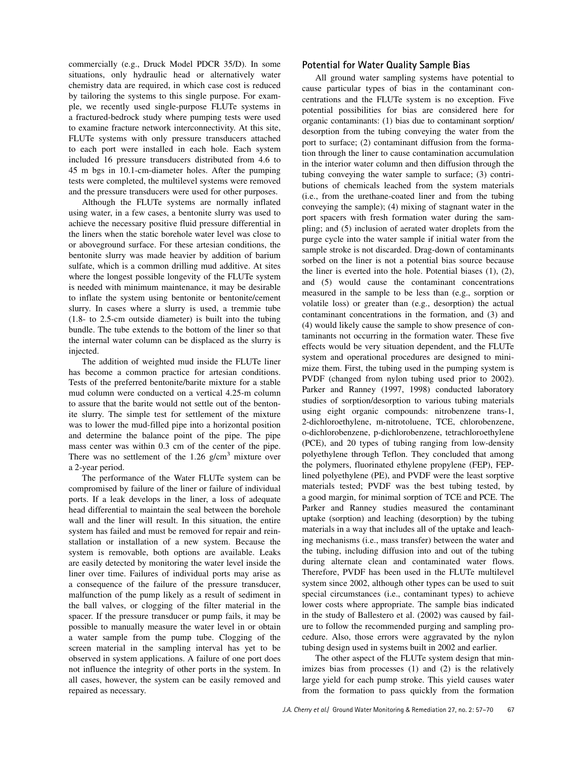commercially (e.g., Druck Model PDCR 35/D). In some situations, only hydraulic head or alternatively water chemistry data are required, in which case cost is reduced by tailoring the systems to this single purpose. For example, we recently used single-purpose FLUTe systems in a fractured-bedrock study where pumping tests were used to examine fracture network interconnectivity. At this site, FLUTe systems with only pressure transducers attached to each port were installed in each hole. Each system included 16 pressure transducers distributed from 4.6 to 45 m bgs in 10.1-cm-diameter holes. After the pumping tests were completed, the multilevel systems were removed and the pressure transducers were used for other purposes.

Although the FLUTe systems are normally inflated using water, in a few cases, a bentonite slurry was used to achieve the necessary positive fluid pressure differential in the liners when the static borehole water level was close to or aboveground surface. For these artesian conditions, the bentonite slurry was made heavier by addition of barium sulfate, which is a common drilling mud additive. At sites where the longest possible longevity of the FLUTe system is needed with minimum maintenance, it may be desirable to inflate the system using bentonite or bentonite/cement slurry. In cases where a slurry is used, a tremmie tube (1.8- to 2.5-cm outside diameter) is built into the tubing bundle. The tube extends to the bottom of the liner so that the internal water column can be displaced as the slurry is injected.

The addition of weighted mud inside the FLUTe liner has become a common practice for artesian conditions. Tests of the preferred bentonite/barite mixture for a stable mud column were conducted on a vertical 4.25-m column to assure that the barite would not settle out of the bentonite slurry. The simple test for settlement of the mixture was to lower the mud-filled pipe into a horizontal position and determine the balance point of the pipe. The pipe mass center was within 0.3 cm of the center of the pipe. There was no settlement of the  $1.26$  g/cm<sup>3</sup> mixture over a 2-year period.

The performance of the Water FLUTe system can be compromised by failure of the liner or failure of individual ports. If a leak develops in the liner, a loss of adequate head differential to maintain the seal between the borehole wall and the liner will result. In this situation, the entire system has failed and must be removed for repair and reinstallation or installation of a new system. Because the system is removable, both options are available. Leaks are easily detected by monitoring the water level inside the liner over time. Failures of individual ports may arise as a consequence of the failure of the pressure transducer, malfunction of the pump likely as a result of sediment in the ball valves, or clogging of the filter material in the spacer. If the pressure transducer or pump fails, it may be possible to manually measure the water level in or obtain a water sample from the pump tube. Clogging of the screen material in the sampling interval has yet to be observed in system applications. A failure of one port does not influence the integrity of other ports in the system. In all cases, however, the system can be easily removed and repaired as necessary.

# Potential for Water Quality Sample Bias

All ground water sampling systems have potential to cause particular types of bias in the contaminant concentrations and the FLUTe system is no exception. Five potential possibilities for bias are considered here for organic contaminants: (1) bias due to contaminant sorption/ desorption from the tubing conveying the water from the port to surface; (2) contaminant diffusion from the formation through the liner to cause contamination accumulation in the interior water column and then diffusion through the tubing conveying the water sample to surface; (3) contributions of chemicals leached from the system materials (i.e., from the urethane-coated liner and from the tubing conveying the sample); (4) mixing of stagnant water in the port spacers with fresh formation water during the sampling; and (5) inclusion of aerated water droplets from the purge cycle into the water sample if initial water from the sample stroke is not discarded. Drag-down of contaminants sorbed on the liner is not a potential bias source because the liner is everted into the hole. Potential biases (1), (2), and (5) would cause the contaminant concentrations measured in the sample to be less than (e.g., sorption or volatile loss) or greater than (e.g., desorption) the actual contaminant concentrations in the formation, and (3) and (4) would likely cause the sample to show presence of contaminants not occurring in the formation water. These five effects would be very situation dependent, and the FLUTe system and operational procedures are designed to minimize them. First, the tubing used in the pumping system is PVDF (changed from nylon tubing used prior to 2002). Parker and Ranney (1997, 1998) conducted laboratory studies of sorption/desorption to various tubing materials using eight organic compounds: nitrobenzene trans-1, 2-dichloroethylene, m-nitrotoluene, TCE, chlorobenzene, o-dichlorobenzene, p-dichlorobenzene, tetrachloroethylene (PCE), and 20 types of tubing ranging from low-density polyethylene through Teflon. They concluded that among the polymers, fluorinated ethylene propylene (FEP), FEPlined polyethylene (PE), and PVDF were the least sorptive materials tested; PVDF was the best tubing tested, by a good margin, for minimal sorption of TCE and PCE. The Parker and Ranney studies measured the contaminant uptake (sorption) and leaching (desorption) by the tubing materials in a way that includes all of the uptake and leaching mechanisms (i.e., mass transfer) between the water and the tubing, including diffusion into and out of the tubing during alternate clean and contaminated water flows. Therefore, PVDF has been used in the FLUTe multilevel system since 2002, although other types can be used to suit special circumstances (i.e., contaminant types) to achieve lower costs where appropriate. The sample bias indicated in the study of Ballestero et al. (2002) was caused by failure to follow the recommended purging and sampling procedure. Also, those errors were aggravated by the nylon tubing design used in systems built in 2002 and earlier.

The other aspect of the FLUTe system design that minimizes bias from processes (1) and (2) is the relatively large yield for each pump stroke. This yield causes water from the formation to pass quickly from the formation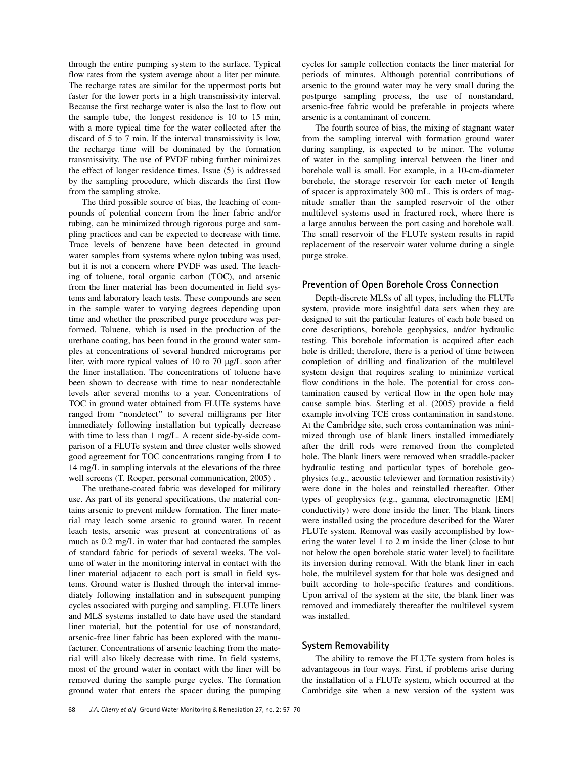through the entire pumping system to the surface. Typical flow rates from the system average about a liter per minute. The recharge rates are similar for the uppermost ports but faster for the lower ports in a high transmissivity interval. Because the first recharge water is also the last to flow out the sample tube, the longest residence is 10 to 15 min, with a more typical time for the water collected after the discard of 5 to 7 min. If the interval transmissivity is low, the recharge time will be dominated by the formation transmissivity. The use of PVDF tubing further minimizes the effect of longer residence times. Issue (5) is addressed by the sampling procedure, which discards the first flow from the sampling stroke.

The third possible source of bias, the leaching of compounds of potential concern from the liner fabric and/or tubing, can be minimized through rigorous purge and sampling practices and can be expected to decrease with time. Trace levels of benzene have been detected in ground water samples from systems where nylon tubing was used, but it is not a concern where PVDF was used. The leaching of toluene, total organic carbon (TOC), and arsenic from the liner material has been documented in field systems and laboratory leach tests. These compounds are seen in the sample water to varying degrees depending upon time and whether the prescribed purge procedure was performed. Toluene, which is used in the production of the urethane coating, has been found in the ground water samples at concentrations of several hundred micrograms per liter, with more typical values of 10 to 70  $\mu$ g/L soon after the liner installation. The concentrations of toluene have been shown to decrease with time to near nondetectable levels after several months to a year. Concentrations of TOC in ground water obtained from FLUTe systems have ranged from ''nondetect'' to several milligrams per liter immediately following installation but typically decrease with time to less than 1 mg/L. A recent side-by-side comparison of a FLUTe system and three cluster wells showed good agreement for TOC concentrations ranging from 1 to 14 mg/L in sampling intervals at the elevations of the three well screens (T. Roeper, personal communication, 2005) .

The urethane-coated fabric was developed for military use. As part of its general specifications, the material contains arsenic to prevent mildew formation. The liner material may leach some arsenic to ground water. In recent leach tests, arsenic was present at concentrations of as much as 0.2 mg/L in water that had contacted the samples of standard fabric for periods of several weeks. The volume of water in the monitoring interval in contact with the liner material adjacent to each port is small in field systems. Ground water is flushed through the interval immediately following installation and in subsequent pumping cycles associated with purging and sampling. FLUTe liners and MLS systems installed to date have used the standard liner material, but the potential for use of nonstandard, arsenic-free liner fabric has been explored with the manufacturer. Concentrations of arsenic leaching from the material will also likely decrease with time. In field systems, most of the ground water in contact with the liner will be removed during the sample purge cycles. The formation ground water that enters the spacer during the pumping cycles for sample collection contacts the liner material for periods of minutes. Although potential contributions of arsenic to the ground water may be very small during the postpurge sampling process, the use of nonstandard, arsenic-free fabric would be preferable in projects where arsenic is a contaminant of concern.

The fourth source of bias, the mixing of stagnant water from the sampling interval with formation ground water during sampling, is expected to be minor. The volume of water in the sampling interval between the liner and borehole wall is small. For example, in a 10-cm-diameter borehole, the storage reservoir for each meter of length of spacer is approximately 300 mL. This is orders of magnitude smaller than the sampled reservoir of the other multilevel systems used in fractured rock, where there is a large annulus between the port casing and borehole wall. The small reservoir of the FLUTe system results in rapid replacement of the reservoir water volume during a single purge stroke.

# Prevention of Open Borehole Cross Connection

Depth-discrete MLSs of all types, including the FLUTe system, provide more insightful data sets when they are designed to suit the particular features of each hole based on core descriptions, borehole geophysics, and/or hydraulic testing. This borehole information is acquired after each hole is drilled; therefore, there is a period of time between completion of drilling and finalization of the multilevel system design that requires sealing to minimize vertical flow conditions in the hole. The potential for cross contamination caused by vertical flow in the open hole may cause sample bias. Sterling et al. (2005) provide a field example involving TCE cross contamination in sandstone. At the Cambridge site, such cross contamination was minimized through use of blank liners installed immediately after the drill rods were removed from the completed hole. The blank liners were removed when straddle-packer hydraulic testing and particular types of borehole geophysics (e.g., acoustic televiewer and formation resistivity) were done in the holes and reinstalled thereafter. Other types of geophysics (e.g., gamma, electromagnetic [EM] conductivity) were done inside the liner. The blank liners were installed using the procedure described for the Water FLUTe system. Removal was easily accomplished by lowering the water level 1 to 2 m inside the liner (close to but not below the open borehole static water level) to facilitate its inversion during removal. With the blank liner in each hole, the multilevel system for that hole was designed and built according to hole-specific features and conditions. Upon arrival of the system at the site, the blank liner was removed and immediately thereafter the multilevel system was installed.

# System Removability

The ability to remove the FLUTe system from holes is advantageous in four ways. First, if problems arise during the installation of a FLUTe system, which occurred at the Cambridge site when a new version of the system was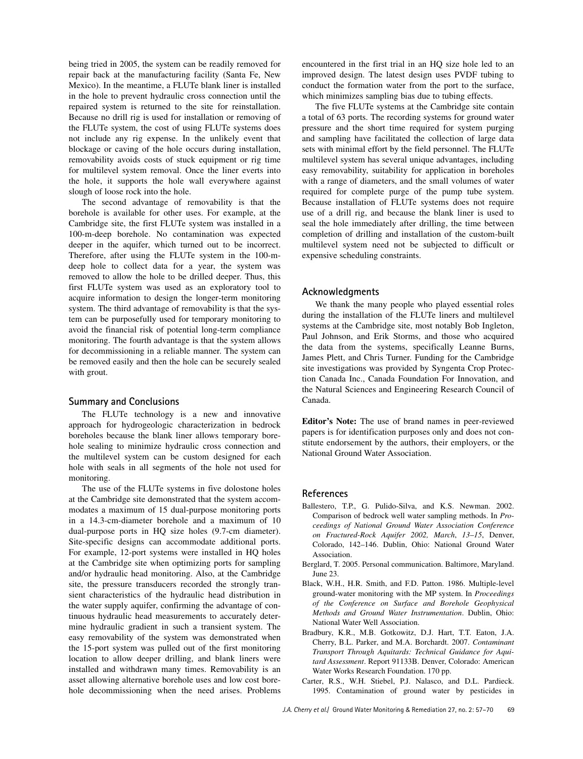being tried in 2005, the system can be readily removed for repair back at the manufacturing facility (Santa Fe, New Mexico). In the meantime, a FLUTe blank liner is installed in the hole to prevent hydraulic cross connection until the repaired system is returned to the site for reinstallation. Because no drill rig is used for installation or removing of the FLUTe system, the cost of using FLUTe systems does not include any rig expense. In the unlikely event that blockage or caving of the hole occurs during installation, removability avoids costs of stuck equipment or rig time for multilevel system removal. Once the liner everts into the hole, it supports the hole wall everywhere against slough of loose rock into the hole.

The second advantage of removability is that the borehole is available for other uses. For example, at the Cambridge site, the first FLUTe system was installed in a 100-m-deep borehole. No contamination was expected deeper in the aquifer, which turned out to be incorrect. Therefore, after using the FLUTe system in the 100-mdeep hole to collect data for a year, the system was removed to allow the hole to be drilled deeper. Thus, this first FLUTe system was used as an exploratory tool to acquire information to design the longer-term monitoring system. The third advantage of removability is that the system can be purposefully used for temporary monitoring to avoid the financial risk of potential long-term compliance monitoring. The fourth advantage is that the system allows for decommissioning in a reliable manner. The system can be removed easily and then the hole can be securely sealed with grout.

## Summary and Conclusions

The FLUTe technology is a new and innovative approach for hydrogeologic characterization in bedrock boreholes because the blank liner allows temporary borehole sealing to minimize hydraulic cross connection and the multilevel system can be custom designed for each hole with seals in all segments of the hole not used for monitoring.

The use of the FLUTe systems in five dolostone holes at the Cambridge site demonstrated that the system accommodates a maximum of 15 dual-purpose monitoring ports in a 14.3-cm-diameter borehole and a maximum of 10 dual-purpose ports in HQ size holes (9.7-cm diameter). Site-specific designs can accommodate additional ports. For example, 12-port systems were installed in HQ holes at the Cambridge site when optimizing ports for sampling and/or hydraulic head monitoring. Also, at the Cambridge site, the pressure transducers recorded the strongly transient characteristics of the hydraulic head distribution in the water supply aquifer, confirming the advantage of continuous hydraulic head measurements to accurately determine hydraulic gradient in such a transient system. The easy removability of the system was demonstrated when the 15-port system was pulled out of the first monitoring location to allow deeper drilling, and blank liners were installed and withdrawn many times. Removability is an asset allowing alternative borehole uses and low cost borehole decommissioning when the need arises. Problems

encountered in the first trial in an HQ size hole led to an improved design. The latest design uses PVDF tubing to conduct the formation water from the port to the surface, which minimizes sampling bias due to tubing effects.

The five FLUTe systems at the Cambridge site contain a total of 63 ports. The recording systems for ground water pressure and the short time required for system purging and sampling have facilitated the collection of large data sets with minimal effort by the field personnel. The FLUTe multilevel system has several unique advantages, including easy removability, suitability for application in boreholes with a range of diameters, and the small volumes of water required for complete purge of the pump tube system. Because installation of FLUTe systems does not require use of a drill rig, and because the blank liner is used to seal the hole immediately after drilling, the time between completion of drilling and installation of the custom-built multilevel system need not be subjected to difficult or expensive scheduling constraints.

### Acknowledgments

We thank the many people who played essential roles during the installation of the FLUTe liners and multilevel systems at the Cambridge site, most notably Bob Ingleton, Paul Johnson, and Erik Storms, and those who acquired the data from the systems, specifically Leanne Burns, James Plett, and Chris Turner. Funding for the Cambridge site investigations was provided by Syngenta Crop Protection Canada Inc., Canada Foundation For Innovation, and the Natural Sciences and Engineering Research Council of Canada.

Editor's Note: The use of brand names in peer-reviewed papers is for identification purposes only and does not constitute endorsement by the authors, their employers, or the National Ground Water Association.

#### References

- Ballestero, T.P., G. Pulido-Silva, and K.S. Newman. 2002. Comparison of bedrock well water sampling methods. In Proceedings of National Ground Water Association Conference on Fractured-Rock Aquifer 2002, March, 13–15, Denver, Colorado, 142–146. Dublin, Ohio: National Ground Water Association.
- Berglard, T. 2005. Personal communication. Baltimore, Maryland. June 23.
- Black, W.H., H.R. Smith, and F.D. Patton. 1986. Multiple-level ground-water monitoring with the MP system. In Proceedings of the Conference on Surface and Borehole Geophysical Methods and Ground Water Instrumentation. Dublin, Ohio: National Water Well Association.
- Bradbury, K.R., M.B. Gotkowitz, D.J. Hart, T.T. Eaton, J.A. Cherry, B.L. Parker, and M.A. Borchardt. 2007. Contaminant Transport Through Aquitards: Technical Guidance for Aquitard Assessment. Report 91133B. Denver, Colorado: American Water Works Research Foundation. 170 pp.
- Carter, R.S., W.H. Stiebel, P.J. Nalasco, and D.L. Pardieck. 1995. Contamination of ground water by pesticides in